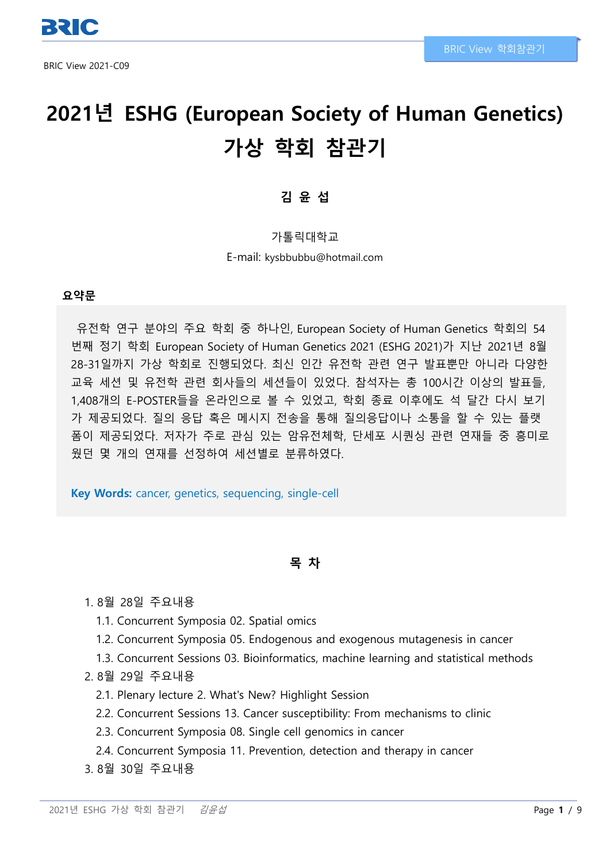# **2021년 ESHG (European Society of Human Genetics) 가상 학회 참관기**

# **김 윤 섭**

가톨릭대학교

E-mail: kysbbubbu@hotmail.com

#### **요약문**

유전학 연구 분야의 주요 학회 중 하나인, European Society of Human Genetics 학회의 54 번째 정기 학회 European Society of Human Genetics 2021 (ESHG 2021)가 지난 2021년 8월 28-31일까지 가상 학회로 진행되었다. 최신 인간 유전학 관련 연구 발표뿐만 아니라 다양한 교육 세션 및 유전학 관련 회사들의 세션들이 있었다. 참석자는 총 100시간 이상의 발표들, 1,408개의 E-POSTER들을 온라인으로 볼 수 있었고, 학회 종료 이후에도 석 달간 다시 보기 가 제공되었다. 질의 응답 혹은 메시지 전송을 통해 질의응답이나 소통을 할 수 있는 플랫 폼이 제공되었다. 저자가 주로 관심 있는 암유전체학, 단세포 시퀀싱 관련 연재들 중 흥미로 웠던 몇 개의 연재를 선정하여 세션별로 분류하였다.

**Key Words:** cancer, genetics, sequencing, single-cell

## **목 차**

- 1. 8월 28일 주요내용
	- 1.1. Concurrent Symposia 02. Spatial omics
	- 1.2. Concurrent Symposia 05. Endogenous and exogenous mutagenesis in cancer
	- 1.3. Concurrent Sessions 03. Bioinformatics, machine learning and statistical methods
- 2. 8월 29일 주요내용
	- 2.1. Plenary lecture 2. What's New? Highlight Session
	- 2.2. Concurrent Sessions 13. Cancer susceptibility: From mechanisms to clinic
	- 2.3. Concurrent Symposia 08. Single cell genomics in cancer
	- 2.4. Concurrent Symposia 11. Prevention, detection and therapy in cancer
- 3. 8월 30일 주요내용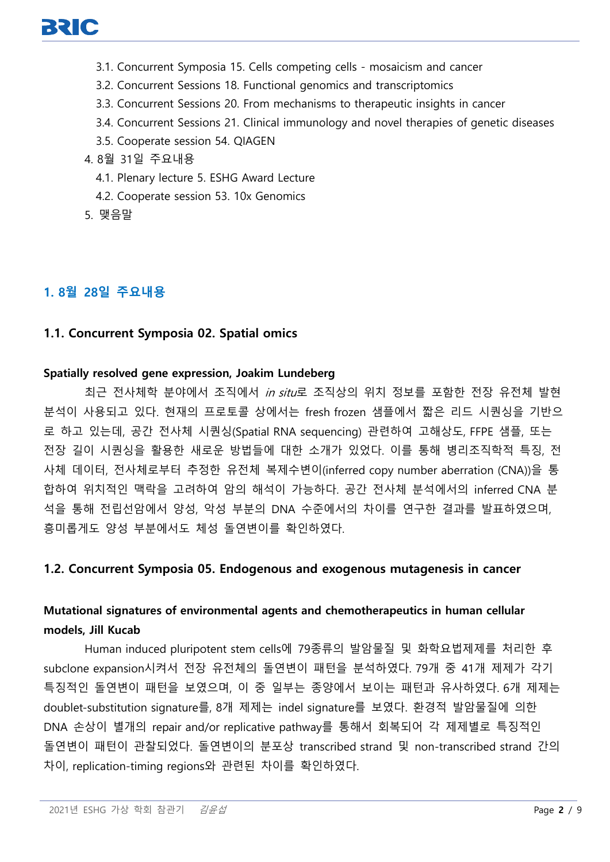- 3.1. Concurrent Symposia 15. Cells competing cells mosaicism and cancer
- 3.2. Concurrent Sessions 18. Functional genomics and transcriptomics
- 3.3. Concurrent Sessions 20. From mechanisms to therapeutic insights in cancer
- 3.4. Concurrent Sessions 21. Clinical immunology and novel therapies of genetic diseases
- 3.5. Cooperate session 54. QIAGEN
- 4. 8월 31일 주요내용
	- 4.1. Plenary lecture 5. ESHG Award Lecture
	- 4.2. Cooperate session 53. 10x Genomics
- 5. 맺음말

# **1. 8월 28일 주요내용**

#### **1.1. Concurrent Symposia 02. Spatial omics**

#### **Spatially resolved gene expression, Joakim Lundeberg**

최근 전사체학 분야에서 조직에서 in situ로 조직상의 위치 정보를 포함한 전장 유전체 발현 분석이 사용되고 있다. 현재의 프로토콜 상에서는 fresh frozen 샘플에서 짧은 리드 시퀀싱을 기반으 로 하고 있는데, 공간 전사체 시퀀싱(Spatial RNA sequencing) 관련하여 고해상도, FFPE 샘플, 또는 전장 길이 시퀀싱을 활용한 새로운 방법들에 대한 소개가 있었다. 이를 통해 병리조직학적 특징, 전 사체 데이터, 전사체로부터 추정한 유전체 복제수변이(inferred copy number aberration (CNA))을 통 합하여 위치적인 맥락을 고려하여 암의 해석이 가능하다. 공간 전사체 분석에서의 inferred CNA 분 석을 통해 전립선암에서 양성, 악성 부분의 DNA 수준에서의 차이를 연구한 결과를 발표하였으며, 흥미롭게도 양성 부분에서도 체성 돌연변이를 확인하였다.

## **1.2. Concurrent Symposia 05. Endogenous and exogenous mutagenesis in cancer**

# **Mutational signatures of environmental agents and chemotherapeutics in human cellular models, Jill Kucab**

Human induced pluripotent stem cells에 79종류의 발암물질 및 화학요법제제를 처리한 후 subclone expansion시켜서 전장 유전체의 돌연변이 패턴을 분석하였다. 79개 중 41개 제제가 각기 특징적인 돌연변이 패턴을 보였으며, 이 중 일부는 종양에서 보이는 패턴과 유사하였다. 6개 제제는 doublet-substitution signature를, 8개 제제는 indel signature를 보였다. 환경적 발암물질에 의한 DNA 손상이 별개의 repair and/or replicative pathway를 통해서 회복되어 각 제제별로 특징적인 돌연변이 패턴이 관찰되었다. 돌연변이의 분포상 transcribed strand 및 non-transcribed strand 간의 차이, replication-timing regions와 관련된 차이를 확인하였다.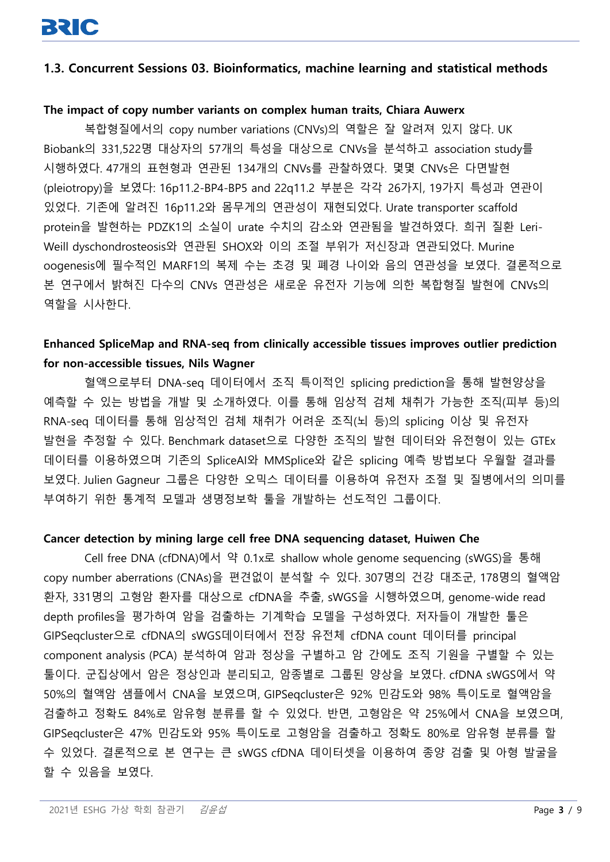#### **1.3. Concurrent Sessions 03. Bioinformatics, machine learning and statistical methods**

#### **The impact of copy number variants on complex human traits, Chiara Auwerx**

복합형질에서의 copy number variations (CNVs)의 역할은 잘 알려져 있지 않다. UK Biobank의 331,522명 대상자의 57개의 특성을 대상으로 CNVs을 분석하고 association study를 시행하였다. 47개의 표현형과 연관된 134개의 CNVs를 관찰하였다. 몇몇 CNVs은 다면발현 (pleiotropy)을 보였다: 16p11.2-BP4-BP5 and 22q11.2 부분은 각각 26가지, 19가지 특성과 연관이 있었다. 기존에 알려진 16p11.2와 몸무게의 연관성이 재현되었다. Urate transporter scaffold protein을 발현하는 PDZK1의 소실이 urate 수치의 감소와 연관됨을 발견하였다. 희귀 질환 Leri-Weill dyschondrosteosis와 연관된 SHOX와 이의 조절 부위가 저신장과 연관되었다. Murine oogenesis에 필수적인 MARF1의 복제 수는 초경 및 폐경 나이와 음의 연관성을 보였다. 결론적으로 본 연구에서 밝혀진 다수의 CNVs 연관성은 새로운 유전자 기능에 의한 복합형질 발현에 CNVs의 역할을 시사한다.

# **Enhanced SpliceMap and RNA-seq from clinically accessible tissues improves outlier prediction for non-accessible tissues, Nils Wagner**

혈액으로부터 DNA-seq 데이터에서 조직 특이적인 splicing prediction을 통해 발현양상을 예측할 수 있는 방법을 개발 및 소개하였다. 이를 통해 임상적 검체 채취가 가능한 조직(피부 등)의 RNA-seq 데이터를 통해 임상적인 검체 채취가 어려운 조직(뇌 등)의 splicing 이상 및 유전자 발현을 추정할 수 있다. Benchmark dataset으로 다양한 조직의 발현 데이터와 유전형이 있는 GTEx 데이터를 이용하였으며 기존의 SpliceAI와 MMSplice와 같은 splicing 예측 방법보다 우월할 결과를 보였다. Julien Gagneur 그룹은 다양한 오믹스 데이터를 이용하여 유전자 조절 및 질병에서의 의미를 부여하기 위한 통계적 모델과 생명정보학 툴을 개발하는 선도적인 그룹이다.

#### **Cancer detection by mining large cell free DNA sequencing dataset, Huiwen Che**

Cell free DNA (cfDNA)에서 약 0.1x로 shallow whole genome sequencing (sWGS)을 통해 copy number aberrations (CNAs)을 편견없이 분석할 수 있다. 307명의 건강 대조군, 178명의 혈액암 환자, 331명의 고형암 환자를 대상으로 cfDNA을 추출, sWGS을 시행하였으며, genome-wide read depth profiles을 평가하여 암을 검출하는 기계학습 모델을 구성하였다. 저자들이 개발한 툴은 GIPSeqcluster으로 cfDNA의 sWGS데이터에서 전장 유전체 cfDNA count 데이터를 principal component analysis (PCA) 분석하여 암과 정상을 구별하고 암 간에도 조직 기원을 구별할 수 있는 툴이다. 군집상에서 암은 정상인과 분리되고, 암종별로 그룹된 양상을 보였다. cfDNA sWGS에서 약 50%의 혈액암 샘플에서 CNA을 보였으며, GIPSeqcluster은 92% 민감도와 98% 특이도로 혈액암을 검출하고 정확도 84%로 암유형 분류를 할 수 있었다. 반면, 고형암은 약 25%에서 CNA을 보였으며, GIPSeqcluster은 47% 민감도와 95% 특이도로 고형암을 검출하고 정확도 80%로 암유형 분류를 할 수 있었다. 결론적으로 본 연구는 큰 sWGS cfDNA 데이터셋을 이용하여 종양 검출 및 아형 발굴을 할 수 있음을 보였다.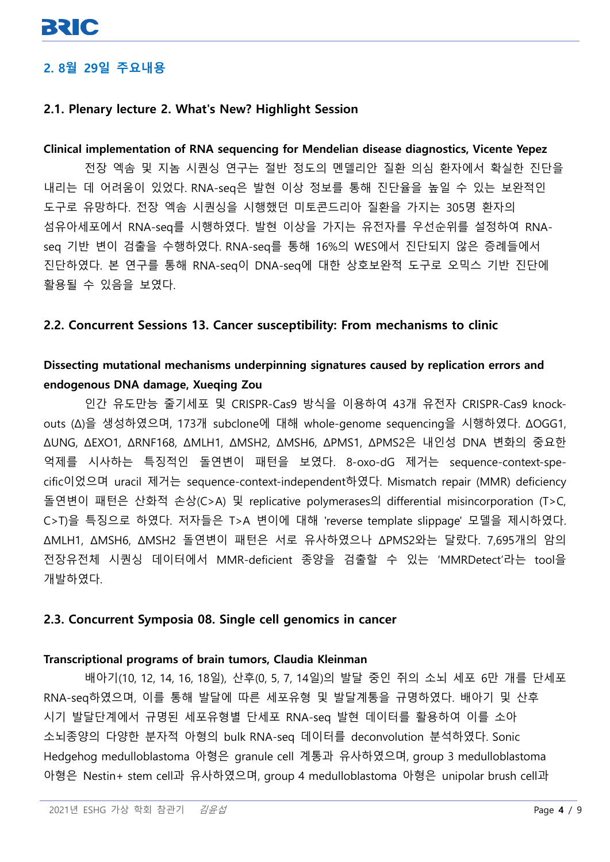# **2. 8월 29일 주요내용**

## **2.1. Plenary lecture 2. What's New? Highlight Session**

#### **Clinical implementation of RNA sequencing for Mendelian disease diagnostics, Vicente Yepez**

전장 엑솜 및 지놈 시퀀싱 연구는 절반 정도의 멘델리안 질환 의심 환자에서 확실한 진단을 내리는 데 어려움이 있었다. RNA-seq은 발현 이상 정보를 통해 진단율을 높일 수 있는 보완적인 도구로 유망하다. 전장 엑솜 시퀀싱을 시행했던 미토콘드리아 질환을 가지는 305명 환자의 섬유아세포에서 RNA-seq를 시행하였다. 발현 이상을 가지는 유전자를 우선순위를 설정하여 RNAseq 기반 변이 검출을 수행하였다. RNA-seq를 통해 16%의 WES에서 진단되지 않은 증례들에서 진단하였다. 본 연구를 통해 RNA-seq이 DNA-seq에 대한 상호보완적 도구로 오믹스 기반 진단에 활용될 수 있음을 보였다.

#### **2.2. Concurrent Sessions 13. Cancer susceptibility: From mechanisms to clinic**

# **Dissecting mutational mechanisms underpinning signatures caused by replication errors and endogenous DNA damage, Xueqing Zou**

인간 유도만능 줄기세포 및 CRISPR-Cas9 방식을 이용하여 43개 유전자 CRISPR-Cas9 knockouts (Δ)을 생성하였으며, 173개 subclone에 대해 whole-genome sequencing을 시행하였다. ΔOGG1, ΔUNG, ΔEXO1, ΔRNF168, ΔMLH1, ΔMSH2, ΔMSH6, ΔPMS1, ΔPMS2은 내인성 DNA 변화의 중요한 억제를 시사하는 특징적인 돌연변이 패턴을 보였다. 8-oxo-dG 제거는 sequence-context-specific이었으며 uracil 제거는 sequence-context-independent하였다. Mismatch repair (MMR) deficiency 돌연변이 패턴은 산화적 손상(C>A) 및 replicative polymerases의 differential misincorporation (T>C, C>T)을 특징으로 하였다. 저자들은 T>A 변이에 대해 'reverse template slippage' 모델을 제시하였다. ΔMLH1, ΔMSH6, ΔMSH2 돌연변이 패턴은 서로 유사하였으나 ΔPMS2와는 달랐다. 7,695개의 암의 전장유전체 시퀀싱 데이터에서 MMR-deficient 종양을 검출할 수 있는 'MMRDetect'라는 tool을 개발하였다.

#### **2.3. Concurrent Symposia 08. Single cell genomics in cancer**

#### **Transcriptional programs of brain tumors, Claudia Kleinman**

배아기(10, 12, 14, 16, 18일), 산후(0, 5, 7, 14일)의 발달 중인 쥐의 소뇌 세포 6만 개를 단세포 RNA-seq하였으며, 이를 통해 발달에 따른 세포유형 및 발달계통을 규명하였다. 배아기 및 산후 시기 발달단계에서 규명된 세포유형별 단세포 RNA-seq 발현 데이터를 활용하여 이를 소아 소뇌종양의 다양한 분자적 아형의 bulk RNA-seq 데이터를 deconvolution 분석하였다. Sonic Hedgehog medulloblastoma 아형은 granule cell 계통과 유사하였으며, group 3 medulloblastoma 아형은 Nestin+ stem cell과 유사하였으며, group 4 medulloblastoma 아형은 unipolar brush cell과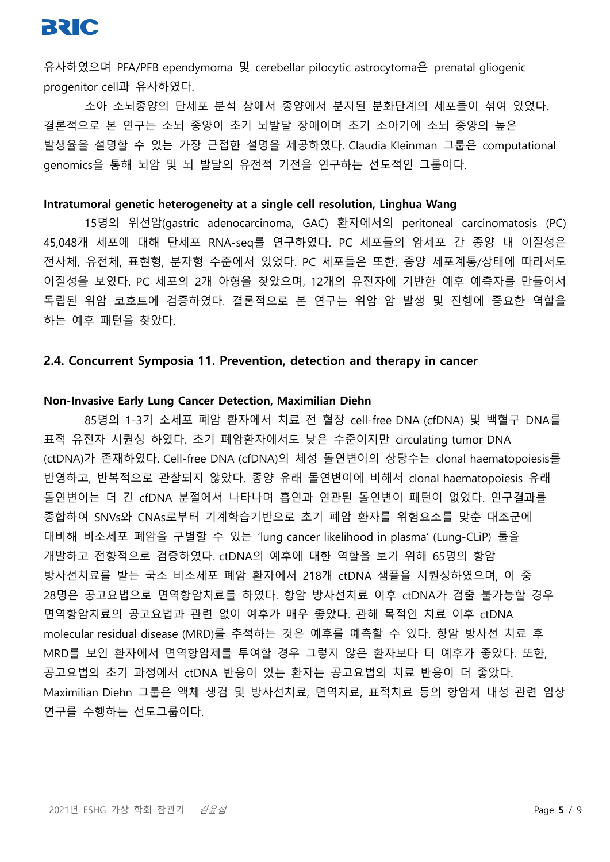유사하였으며 PFA/PFB ependymoma 및 cerebellar pilocytic astrocytoma은 prenatal gliogenic progenitor cell과 유사하였다.

소아 소뇌종양의 단세포 분석 상에서 종양에서 분지된 분화단계의 세포들이 섞여 있었다. 결론적으로 본 연구는 소뇌 종양이 초기 뇌발달 장애이며 초기 소아기에 소뇌 종양의 높은 발생율을 설명할 수 있는 가장 근접한 설명을 제공하였다. Claudia Kleinman 그룹은 computational genomics을 통해 뇌암 및 뇌 발달의 유전적 기전을 연구하는 선도적인 그룹이다.

#### **Intratumoral genetic heterogeneity at a single cell resolution, Linghua Wang**

15명의 위선암(gastric adenocarcinoma, GAC) 환자에서의 peritoneal carcinomatosis (PC) 45,048개 세포에 대해 단세포 RNA-seq를 연구하였다. PC 세포들의 암세포 간 종양 내 이질성은 전사체, 유전체, 표현형, 분자형 수준에서 있었다. PC 세포들은 또한, 종양 세포계통/상태에 따라서도 이질성을 보였다. PC 세포의 2개 아형을 찾았으며, 12개의 유전자에 기반한 예후 예측자를 만들어서 독립된 위암 코호트에 검증하였다. 결론적으로 본 연구는 위암 암 발생 및 진행에 중요한 역할을 하는 예후 패턴을 찾았다.

#### **2.4. Concurrent Symposia 11. Prevention, detection and therapy in cancer**

#### **Non-Invasive Early Lung Cancer Detection, Maximilian Diehn**

85명의 1-3기 소세포 폐암 환자에서 치료 전 혈장 cell-free DNA (cfDNA) 및 백혈구 DNA를 표적 유전자 시퀀싱 하였다. 초기 폐암환자에서도 낮은 수준이지만 circulating tumor DNA (ctDNA)가 존재하였다. Cell-free DNA (cfDNA)의 체성 돌연변이의 상당수는 clonal haematopoiesis를 반영하고, 반복적으로 관찰되지 않았다. 종양 유래 돌연변이에 비해서 clonal haematopoiesis 유래 돌연변이는 더 긴 cfDNA 분절에서 나타나며 흡연과 연관된 돌연변이 패턴이 없었다. 연구결과를 종합하여 SNVs와 CNAs로부터 기계학습기반으로 초기 폐암 환자를 위험요소를 맞춘 대조군에 대비해 비소세포 폐암을 구별할 수 있는 'lung cancer likelihood in plasma' (Lung-CLiP) 툴을 개발하고 전향적으로 검증하였다. ctDNA의 예후에 대한 역할을 보기 위해 65명의 항암 방사선치료를 받는 국소 비소세포 폐암 환자에서 218개 ctDNA 샘플을 시퀀싱하였으며, 이 중 28명은 공고요법으로 면역항암치료를 하였다. 항암 방사선치료 이후 ctDNA가 검출 불가능할 경우 면역항암치료의 공고요법과 관련 없이 예후가 매우 좋았다. 관해 목적인 치료 이후 ctDNA molecular residual disease (MRD)를 추적하는 것은 예후를 예측할 수 있다. 항암 방사선 치료 후 MRD를 보인 환자에서 면역항암제를 투여할 경우 그렇지 않은 환자보다 더 예후가 좋았다. 또한, 공고요법의 초기 과정에서 ctDNA 반응이 있는 환자는 공고요법의 치료 반응이 더 좋았다. Maximilian Diehn 그룹은 액체 생검 및 방사선치료, 면역치료, 표적치료 등의 항암제 내성 관련 임상 연구를 수행하는 선도그룹이다.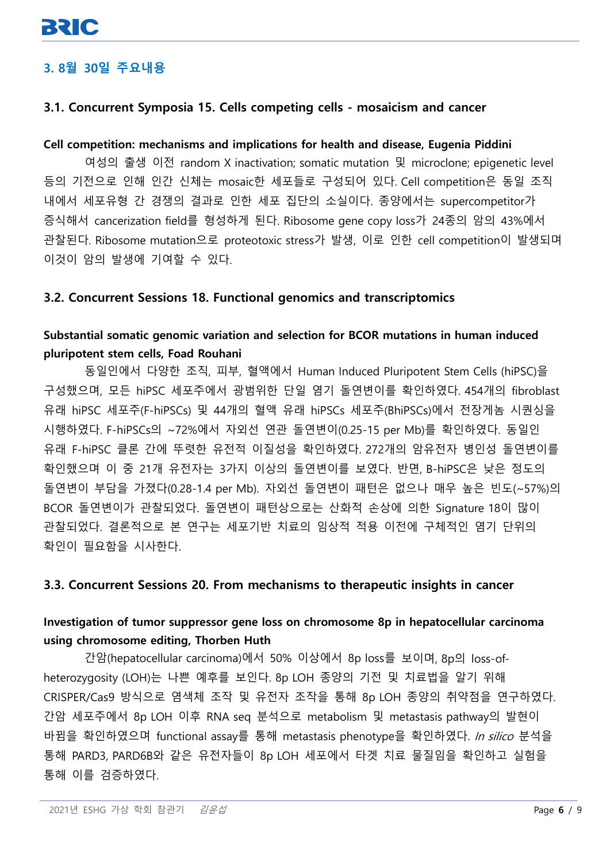# **3. 8월 30일 주요내용**

## **3.1. Concurrent Symposia 15. Cells competing cells - mosaicism and cancer**

#### **Cell competition: mechanisms and implications for health and disease, Eugenia Piddini**

여성의 출생 이전 random X inactivation; somatic mutation 및 microclone; epigenetic level 등의 기전으로 인해 인간 신체는 mosaic한 세포들로 구성되어 있다. Cell competition은 동일 조직 내에서 세포유형 간 경쟁의 결과로 인한 세포 집단의 소실이다. 종양에서는 supercompetitor가 증식해서 cancerization field를 형성하게 된다. Ribosome gene copy loss가 24종의 암의 43%에서 관찰된다. Ribosome mutation으로 proteotoxic stress가 발생, 이로 인한 cell competition이 발생되며 이것이 암의 발생에 기여할 수 있다.

#### **3.2. Concurrent Sessions 18. Functional genomics and transcriptomics**

## **Substantial somatic genomic variation and selection for BCOR mutations in human induced pluripotent stem cells, Foad Rouhani**

동일인에서 다양한 조직, 피부, 혈액에서 Human Induced Pluripotent Stem Cells (hiPSC)을 구성했으며, 모든 hiPSC 세포주에서 광범위한 단일 염기 돌연변이를 확인하였다. 454개의 fibroblast 유래 hiPSC 세포주(F-hiPSCs) 및 44개의 혈액 유래 hiPSCs 세포주(BhiPSCs)에서 전장게놈 시퀀싱을 시행하였다. F-hiPSCs의 ~72%에서 자외선 연관 돌연변이(0.25-15 per Mb)를 확인하였다. 동일인 유래 F-hiPSC 클론 간에 뚜렷한 유전적 이질성을 확인하였다. 272개의 암유전자 병인성 돌연변이를 확인했으며 이 중 21개 유전자는 3가지 이상의 돌연변이를 보였다. 반면, B-hiPSC은 낮은 정도의 돌연변이 부담을 가졌다(0.28-1.4 per Mb). 자외선 돌연변이 패턴은 없으나 매우 높은 빈도(~57%)의 BCOR 돌연변이가 관찰되었다. 돌연변이 패턴상으로는 산화적 손상에 의한 Signature 18이 많이 관찰되었다. 결론적으로 본 연구는 세포기반 치료의 임상적 적용 이전에 구체적인 염기 단위의 확인이 필요함을 시사한다.

#### **3.3. Concurrent Sessions 20. From mechanisms to therapeutic insights in cancer**

## **Investigation of tumor suppressor gene loss on chromosome 8p in hepatocellular carcinoma using chromosome editing, Thorben Huth**

간암(hepatocellular carcinoma)에서 50% 이상에서 8p loss를 보이며, 8p의 loss-ofheterozygosity (LOH)는 나쁜 예후를 보인다. 8p LOH 종양의 기전 및 치료법을 알기 위해 CRISPER/Cas9 방식으로 염색체 조작 및 유전자 조작을 통해 8p LOH 종양의 취약점을 연구하였다. 간암 세포주에서 8p LOH 이후 RNA seq 분석으로 metabolism 및 metastasis pathway의 발현이 바뀜을 확인하였으며 functional assay를 통해 metastasis phenotype을 확인하였다. In silico 분석을 통해 PARD3, PARD6B와 같은 유전자들이 8p LOH 세포에서 타겟 치료 물질임을 확인하고 실험을 통해 이를 검증하였다.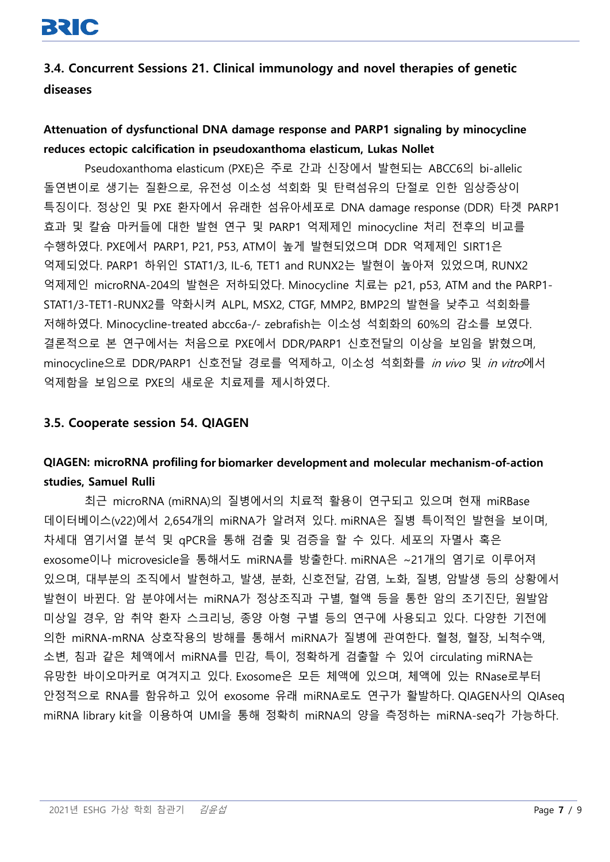**3.4. Concurrent Sessions 21. Clinical immunology and novel therapies of genetic diseases**

# **Attenuation of dysfunctional DNA damage response and PARP1 signaling by minocycline reduces ectopic calcification in pseudoxanthoma elasticum, Lukas Nollet**

Pseudoxanthoma elasticum (PXE)은 주로 간과 신장에서 발현되는 ABCC6의 bi-allelic 돌연변이로 생기는 질환으로, 유전성 이소성 석회화 및 탄력섬유의 단절로 인한 임상증상이 특징이다. 정상인 및 PXE 환자에서 유래한 섬유아세포로 DNA damage response (DDR) 타겟 PARP1 효과 및 칼슘 마커들에 대한 발현 연구 및 PARP1 억제제인 minocycline 처리 전후의 비교를 수행하였다. PXE에서 PARP1, P21, P53, ATM이 높게 발현되었으며 DDR 억제제인 SIRT1은 억제되었다. PARP1 하위인 STAT1/3, IL-6, TET1 and RUNX2는 발현이 높아져 있었으며, RUNX2 억제제인 microRNA-204의 발현은 저하되었다. Minocycline 치료는 p21, p53, ATM and the PARP1- STAT1/3-TET1-RUNX2를 약화시켜 ALPL, MSX2, CTGF, MMP2, BMP2의 발현을 낮추고 석회화를 저해하였다. Minocycline-treated abcc6a-/- zebrafish는 이소성 석회화의 60%의 감소를 보였다. 결론적으로 본 연구에서는 처음으로 PXE에서 DDR/PARP1 신호전달의 이상을 보임을 밝혔으며, minocycline으로 DDR/PARP1 신호전달 경로를 억제하고, 이소성 석회화를 *in vivo* 및 *in vitro*에서 억제함을 보임으로 PXE의 새로운 치료제를 제시하였다.

#### **3.5. Cooperate session 54. QIAGEN**

# **QIAGEN: microRNA profiling for biomarker development and molecular mechanism-of-action studies, Samuel Rulli**

최근 microRNA (miRNA)의 질병에서의 치료적 활용이 연구되고 있으며 현재 miRBase 데이터베이스(v22)에서 2,654개의 miRNA가 알려져 있다. miRNA은 질병 특이적인 발현을 보이며, 차세대 염기서열 분석 및 qPCR을 통해 검출 및 검증을 할 수 있다. 세포의 자멸사 혹은 exosome이나 microvesicle을 통해서도 miRNA를 방출한다. miRNA은 ~21개의 염기로 이루어져 있으며, 대부분의 조직에서 발현하고, 발생, 분화, 신호전달, 감염, 노화, 질병, 암발생 등의 상황에서 발현이 바뀐다. 암 분야에서는 miRNA가 정상조직과 구별, 혈액 등을 통한 암의 조기진단, 원발암 미상일 경우, 암 취약 환자 스크리닝, 종양 아형 구별 등의 연구에 사용되고 있다. 다양한 기전에 의한 miRNA-mRNA 상호작용의 방해를 통해서 miRNA가 질병에 관여한다. 혈청, 혈장, 뇌척수액, 소변, 침과 같은 체액에서 miRNA를 민감, 특이, 정확하게 검출할 수 있어 circulating miRNA는 유망한 바이오마커로 여겨지고 있다. Exosome은 모든 체액에 있으며, 체액에 있는 RNase로부터 안정적으로 RNA를 함유하고 있어 exosome 유래 miRNA로도 연구가 활발하다. QIAGEN사의 QIAseq miRNA library kit을 이용하여 UMI을 통해 정확히 miRNA의 양을 측정하는 miRNA-seq가 가능하다.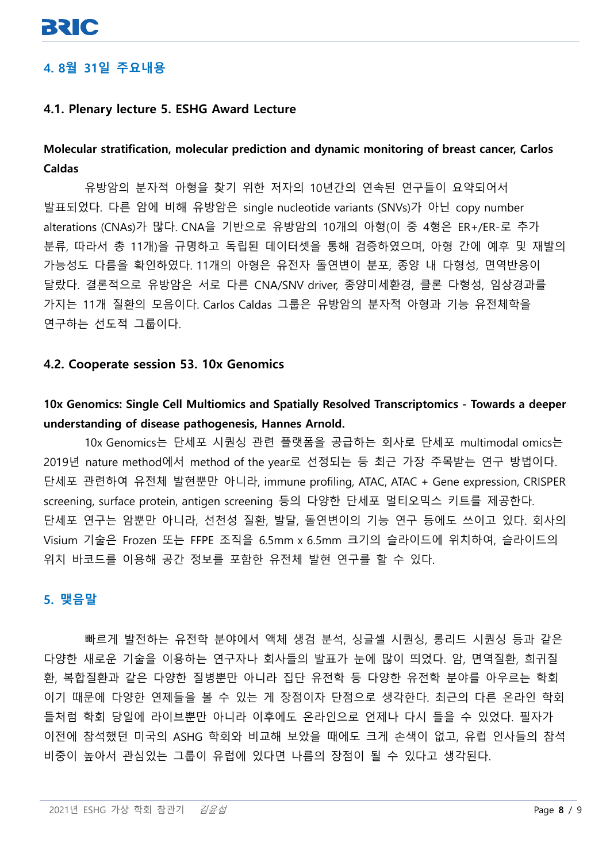# **4. 8월 31일 주요내용**

#### **4.1. Plenary lecture 5. ESHG Award Lecture**

## **Molecular stratification, molecular prediction and dynamic monitoring of breast cancer, Carlos Caldas**

유방암의 분자적 아형을 찾기 위한 저자의 10년간의 연속된 연구들이 요약되어서 발표되었다. 다른 암에 비해 유방암은 single nucleotide variants (SNVs)가 아닌 copy number alterations (CNAs)가 많다. CNA을 기반으로 유방암의 10개의 아형(이 중 4형은 ER+/ER-로 추가 분류, 따라서 총 11개)을 규명하고 독립된 데이터셋을 통해 검증하였으며, 아형 간에 예후 및 재발의 가능성도 다름을 확인하였다. 11개의 아형은 유전자 돌연변이 분포, 종양 내 다형성, 면역반응이 달랐다. 결론적으로 유방암은 서로 다른 CNA/SNV driver, 종양미세환경, 클론 다형성, 임상경과를 가지는 11개 질환의 모음이다. Carlos Caldas 그룹은 유방암의 분자적 아형과 기능 유전체학을 연구하는 선도적 그룹이다.

#### **4.2. Cooperate session 53. 10x Genomics**

# **10x Genomics: Single Cell Multiomics and Spatially Resolved Transcriptomics - Towards a deeper understanding of disease pathogenesis, Hannes Arnold.**

10x Genomics는 단세포 시퀀싱 관련 플랫폼을 공급하는 회사로 단세포 multimodal omics는 2019년 nature method에서 method of the year로 선정되는 등 최근 가장 주목받는 연구 방법이다. 단세포 관련하여 유전체 발현뿐만 아니라, immune profiling, ATAC, ATAC + Gene expression, CRISPER screening, surface protein, antigen screening 등의 다양한 단세포 멀티오믹스 키트를 제공한다. 단세포 연구는 암뿐만 아니라, 선천성 질환, 발달, 돌연변이의 기능 연구 등에도 쓰이고 있다. 회사의 Visium 기술은 Frozen 또는 FFPE 조직을 6.5mm x 6.5mm 크기의 슬라이드에 위치하여, 슬라이드의 위치 바코드를 이용해 공간 정보를 포함한 유전체 발현 연구를 할 수 있다.

#### **5. 맺음말**

빠르게 발전하는 유전학 분야에서 액체 생검 분석, 싱글셀 시퀀싱, 롱리드 시퀀싱 등과 같은 다양한 새로운 기술을 이용하는 연구자나 회사들의 발표가 눈에 많이 띄었다. 암, 면역질환, 희귀질 환, 복합질환과 같은 다양한 질병뿐만 아니라 집단 유전학 등 다양한 유전학 분야를 아우르는 학회 이기 때문에 다양한 연제들을 볼 수 있는 게 장점이자 단점으로 생각한다. 최근의 다른 온라인 학회 들처럼 학회 당일에 라이브뿐만 아니라 이후에도 온라인으로 언제나 다시 들을 수 있었다. 필자가 이전에 참석했던 미국의 ASHG 학회와 비교해 보았을 때에도 크게 손색이 없고, 유럽 인사들의 참석 비중이 높아서 관심있는 그룹이 유럽에 있다면 나름의 장점이 될 수 있다고 생각된다.